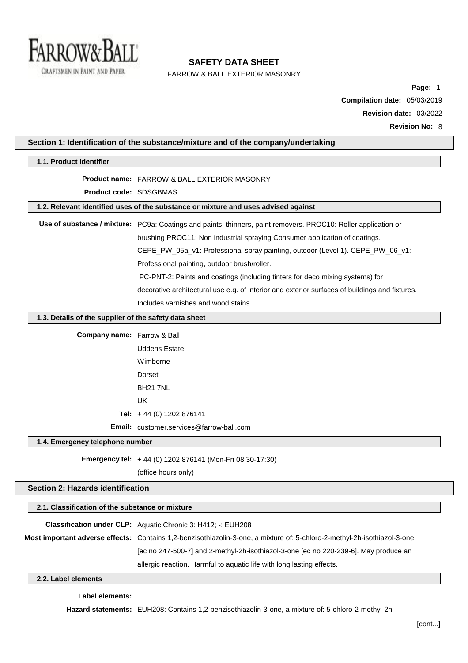

 $\mathbb{R}$ 

# **SAFETY DATA SHEET**

FARROW & BALL EXTERIOR MASONRY

**Page:** 1 **Compilation date:** 05/03/2019 **Revision date:** 03/2022

| Section 1: Identification of the substance/mixture and of the company/undertaking  |                                                                                                                          |  |
|------------------------------------------------------------------------------------|--------------------------------------------------------------------------------------------------------------------------|--|
| 1.1. Product identifier                                                            |                                                                                                                          |  |
|                                                                                    | <b>Product name: FARROW &amp; BALL EXTERIOR MASONRY</b>                                                                  |  |
| Product code: SDSGBMAS                                                             |                                                                                                                          |  |
| 1.2. Relevant identified uses of the substance or mixture and uses advised against |                                                                                                                          |  |
|                                                                                    | Use of substance / mixture: PC9a: Coatings and paints, thinners, paint removers. PROC10: Roller application or           |  |
|                                                                                    | brushing PROC11: Non industrial spraying Consumer application of coatings.                                               |  |
|                                                                                    | CEPE_PW_05a_v1: Professional spray painting, outdoor (Level 1). CEPE_PW_06_v1:                                           |  |
|                                                                                    | Professional painting, outdoor brush/roller.                                                                             |  |
|                                                                                    | PC-PNT-2: Paints and coatings (including tinters for deco mixing systems) for                                            |  |
|                                                                                    | decorative architectural use e.g. of interior and exterior surfaces of buildings and fixtures.                           |  |
|                                                                                    | Includes varnishes and wood stains.                                                                                      |  |
| 1.3. Details of the supplier of the safety data sheet                              |                                                                                                                          |  |
| <b>Company name:</b> Farrow & Ball                                                 |                                                                                                                          |  |
|                                                                                    | <b>Uddens Estate</b>                                                                                                     |  |
|                                                                                    | Wimborne                                                                                                                 |  |
|                                                                                    | Dorset                                                                                                                   |  |
|                                                                                    | <b>BH21 7NL</b>                                                                                                          |  |
|                                                                                    | <b>UK</b>                                                                                                                |  |
|                                                                                    | Tel: $+44$ (0) 1202 876141                                                                                               |  |
|                                                                                    | Email: customer.services@farrow-ball.com                                                                                 |  |
| 1.4. Emergency telephone number                                                    |                                                                                                                          |  |
|                                                                                    | Emergency tel: +44 (0) 1202 876141 (Mon-Fri 08:30-17:30)                                                                 |  |
|                                                                                    | (office hours only)                                                                                                      |  |
| Section 2: Hazards identification                                                  |                                                                                                                          |  |
| 2.1. Classification of the substance or mixture                                    |                                                                                                                          |  |
|                                                                                    | <b>Classification under CLP:</b> Aquatic Chronic 3: H412; -: EUH208                                                      |  |
|                                                                                    | Most important adverse effects: Contains 1,2-benzisothiazolin-3-one, a mixture of: 5-chloro-2-methyl-2h-isothiazol-3-one |  |
|                                                                                    | [ec no 247-500-7] and 2-methyl-2h-isothiazol-3-one [ec no 220-239-6]. May produce an                                     |  |
|                                                                                    | allergic reaction. Harmful to aquatic life with long lasting effects.                                                    |  |
| 2.2. Label elements                                                                |                                                                                                                          |  |
|                                                                                    |                                                                                                                          |  |

## **Label elements:**

**Hazard statements:** EUH208: Contains 1,2-benzisothiazolin-3-one, a mixture of: 5-chloro-2-methyl-2h-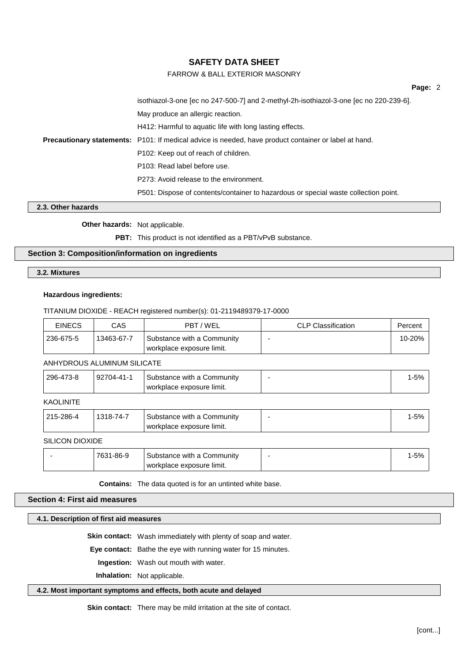# FARROW & BALL EXTERIOR MASONRY

**Page:** 2

isothiazol-3-one [ec no 247-500-7] and 2-methyl-2h-isothiazol-3-one [ec no 220-239-6]. May produce an allergic reaction. H412: Harmful to aquatic life with long lasting effects. **Precautionary statements:** P101: If medical advice is needed, have product container or label at hand. P102: Keep out of reach of children. P103: Read label before use. P273: Avoid release to the environment. P501: Dispose of contents/container to hazardous or special waste collection point.

# **2.3. Other hazards**

**Other hazards:** Not applicable.

**PBT:** This product is not identified as a PBT/vPvB substance.

## **Section 3: Composition/information on ingredients**

**3.2. Mixtures**

#### **Hazardous ingredients:**

#### TITANIUM DIOXIDE - REACH registered number(s): 01-2119489379-17-0000

| <b>EINECS</b> | CAS        | PBT/WEL                                                 | CLP Classification | Percent |
|---------------|------------|---------------------------------------------------------|--------------------|---------|
| 236-675-5     | 13463-67-7 | Substance with a Community<br>workplace exposure limit. |                    | 10-20%  |

#### ANHYDROUS ALUMINUM SILICATE

| 296-473-8 | 92704-41-1 | Substance with a Community<br>workplace exposure limit. |  | 1-5% |
|-----------|------------|---------------------------------------------------------|--|------|
|           |            |                                                         |  |      |

**KAOLINITE** 

| 215-286-4       | 1318-74-7 | Substance with a Community<br>workplace exposure limit. | 1-5% |
|-----------------|-----------|---------------------------------------------------------|------|
| SILICON DIOXIDE |           |                                                         |      |
|                 | 7631-86-9 | Substance with a Community<br>workplace exposure limit. | 1-5% |

**Contains:** The data quoted is for an untinted white base.

## **Section 4: First aid measures**

#### **4.1. Description of first aid measures**

**Skin contact:** Wash immediately with plenty of soap and water.

**Eye contact:** Bathe the eye with running water for 15 minutes.

**Ingestion:** Wash out mouth with water.

**Inhalation:** Not applicable.

## **4.2. Most important symptoms and effects, both acute and delayed**

**Skin contact:** There may be mild irritation at the site of contact.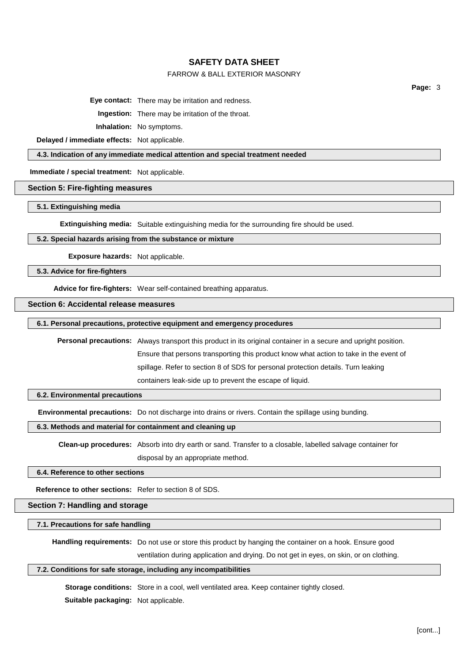# FARROW & BALL EXTERIOR MASONRY

**Page:** 3

**Eye contact:** There may be irritation and redness.

**Ingestion:** There may be irritation of the throat.

**Inhalation:** No symptoms.

**Delayed / immediate effects:** Not applicable.

#### **4.3. Indication of any immediate medical attention and special treatment needed**

**Immediate / special treatment:** Not applicable.

## **Section 5: Fire-fighting measures**

#### **5.1. Extinguishing media**

**Extinguishing media:** Suitable extinguishing media for the surrounding fire should be used.

## **5.2. Special hazards arising from the substance or mixture**

**Exposure hazards:** Not applicable.

#### **5.3. Advice for fire-fighters**

**Advice for fire-fighters:** Wear self-contained breathing apparatus.

# **Section 6: Accidental release measures**

## **6.1. Personal precautions, protective equipment and emergency procedures**

**Personal precautions:** Always transport this product in its original container in a secure and upright position. Ensure that persons transporting this product know what action to take in the event of spillage. Refer to section 8 of SDS for personal protection details. Turn leaking containers leak-side up to prevent the escape of liquid.

#### **6.2. Environmental precautions**

**Environmental precautions:** Do not discharge into drains or rivers. Contain the spillage using bunding.

**6.3. Methods and material for containment and cleaning up**

**Clean-up procedures:** Absorb into dry earth or sand. Transfer to a closable, labelled salvage container for disposal by an appropriate method.

#### **6.4. Reference to other sections**

**Reference to other sections:** Refer to section 8 of SDS.

#### **Section 7: Handling and storage**

#### **7.1. Precautions for safe handling**

**Handling requirements:** Do not use or store this product by hanging the container on a hook. Ensure good

ventilation during application and drying. Do not get in eyes, on skin, or on clothing.

## **7.2. Conditions for safe storage, including any incompatibilities**

**Storage conditions:** Store in a cool, well ventilated area. Keep container tightly closed.

**Suitable packaging:** Not applicable.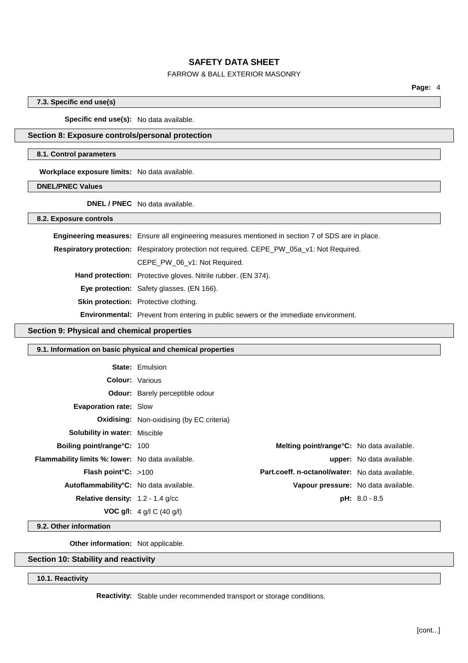# FARROW & BALL EXTERIOR MASONRY

**Page:** 4

## **7.3. Specific end use(s)**

**Specific end use(s):** No data available.

#### **Section 8: Exposure controls/personal protection**

#### **8.1. Control parameters**

**Workplace exposure limits:** No data available.

**DNEL/PNEC Values**

**DNEL / PNEC** No data available.

**8.2. Exposure controls**

| <b>Engineering measures:</b> Ensure all engineering measures mentioned in section 7 of SDS are in place. |
|----------------------------------------------------------------------------------------------------------|
| <b>Respiratory protection:</b> Respiratory protection not required. CEPE_PW_05a_v1: Not Required.        |
| CEPE PW 06 v1: Not Required.                                                                             |
| <b>Hand protection:</b> Protective gloves. Nitrile rubber. (EN 374).                                     |
| Eye protection: Safety glasses. (EN 166).                                                                |
| <b>Skin protection:</b> Protective clothing.                                                             |
| <b>Environmental:</b> Prevent from entering in public sewers or the immediate environment.               |

### **Section 9: Physical and chemical properties**

# **9.1. Information on basic physical and chemical properties State:** Emulsion **Colour:** Various **Odour:** Barely perceptible odour **Evaporation rate:** Slow **Oxidising:** Non-oxidising (by EC criteria) **Solubility in water:** Miscible **Boiling point/range°C:** 100 **Melting point/range°C:** No data available. **Flammability limits %: lower:** No data available. **upper:** No data available. **Flash point°C:** >100 **Part.coeff. n-octanol/water:** No data available. **Autoflammability°C:** No data available. **Vapour pressure:** No data available. **Relative density:** 1.2 - 1.4 g/cc **pH:** 8.0 - 8.5 **VOC g/l:** 4 g/l C (40 g/l)

**9.2. Other information**

**Other information:** Not applicable.

## **Section 10: Stability and reactivity**

#### **10.1. Reactivity**

**Reactivity:** Stable under recommended transport or storage conditions.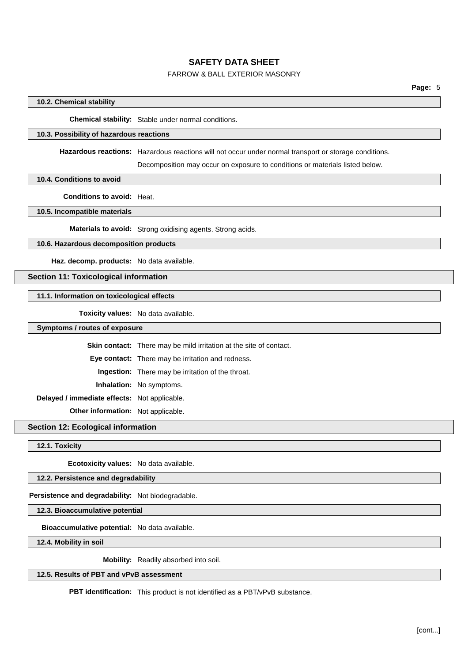# FARROW & BALL EXTERIOR MASONRY

## **10.2. Chemical stability**

**Chemical stability:** Stable under normal conditions.

## **10.3. Possibility of hazardous reactions**

**Hazardous reactions:** Hazardous reactions will not occur under normal transport or storage conditions.

Decomposition may occur on exposure to conditions or materials listed below.

**10.4. Conditions to avoid**

**Conditions to avoid:** Heat.

**10.5. Incompatible materials**

**Materials to avoid:** Strong oxidising agents. Strong acids.

# **10.6. Hazardous decomposition products**

**Haz. decomp. products:** No data available.

# **Section 11: Toxicological information**

## **11.1. Information on toxicological effects**

**Toxicity values:** No data available.

**Symptoms / routes of exposure**

**Skin contact:** There may be mild irritation at the site of contact.

**Eye contact:** There may be irritation and redness.

**Ingestion:** There may be irritation of the throat.

**Inhalation:** No symptoms.

**Delayed / immediate effects:** Not applicable.

**Other information:** Not applicable.

**Section 12: Ecological information**

**12.1. Toxicity**

**Ecotoxicity values:** No data available.

**12.2. Persistence and degradability**

**Persistence and degradability:** Not biodegradable.

**12.3. Bioaccumulative potential**

**Bioaccumulative potential:** No data available.

**12.4. Mobility in soil**

**Mobility:** Readily absorbed into soil.

**12.5. Results of PBT and vPvB assessment**

**PBT identification:** This product is not identified as a PBT/vPvB substance.